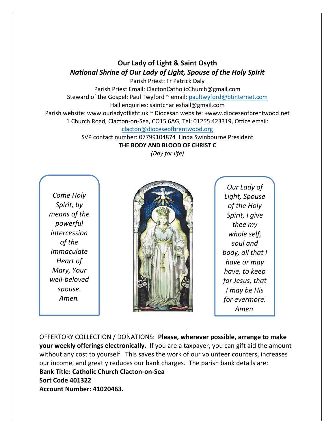## **Our Lady of Light & Saint Osyth** *National Shrine of Our Lady of Light, Spouse of the Holy Spirit*

Parish Priest: Fr Patrick Daly Parish Priest Email: ClactonCatholicChurch@gmail.com Steward of the Gospel: Paul Twyford ~ email: [paultwyford@btinternet.com](mailto:paultwyford@btinternet.com) Hall enquiries: saintcharleshall@gmail.com Parish website: www.ourladyoflight.uk ~ Diocesan website: +www.dioceseofbrentwood.net

1 Church Road, Clacton-on-Sea, CO15 6AG, Tel: 01255 423319, Office email:

[clacton@dioceseofbrentwood.org](mailto:clacton@dioceseofbrentwood.org)

SVP contact number: 07799104874 Linda Swinbourne President **THE BODY AND BLOOD OF CHRIST C**

*(Day for life)*

*Come Holy Spirit, by means of the powerful intercession of the Immaculate Heart of Mary, Your well-beloved spouse. Amen.*



*Our Lady of Light, Spouse of the Holy Spirit, I give thee my whole self, soul and body, all that I have or may have, to keep for Jesus, that I may be His for evermore. Amen.*

OFFERTORY COLLECTION / DONATIONS: **Please, wherever possible, arrange to make your weekly offerings electronically.** If you are a taxpayer, you can gift aid the amount without any cost to yourself. This saves the work of our volunteer counters, increases our income, and greatly reduces our bank charges. The parish bank details are: **Bank Title: Catholic Church Clacton-on-Sea Sort Code 401322 Account Number: 41020463.**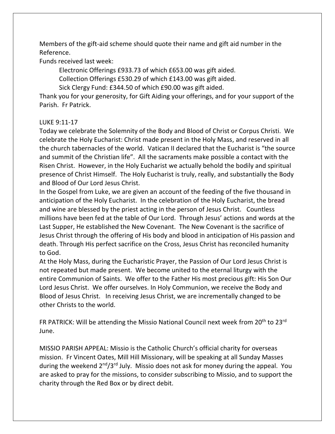Members of the gift-aid scheme should quote their name and gift aid number in the Reference.

Funds received last week:

Electronic Offerings £933.73 of which £653.00 was gift aided.

Collection Offerings £530.29 of which £143.00 was gift aided.

Sick Clergy Fund: £344.50 of which £90.00 was gift aided.

Thank you for your generosity, for Gift Aiding your offerings, and for your support of the Parish. Fr Patrick.

## LUKE 9:11-17

Today we celebrate the Solemnity of the Body and Blood of Christ or Corpus Christi. We celebrate the Holy Eucharist: Christ made present in the Holy Mass, and reserved in all the church tabernacles of the world. Vatican II declared that the Eucharist is "the source and summit of the Christian life". All the sacraments make possible a contact with the Risen Christ. However, in the Holy Eucharist we actually behold the bodily and spiritual presence of Christ Himself. The Holy Eucharist is truly, really, and substantially the Body and Blood of Our Lord Jesus Christ.

In the Gospel from Luke, we are given an account of the feeding of the five thousand in anticipation of the Holy Eucharist. In the celebration of the Holy Eucharist, the bread and wine are blessed by the priest acting in the person of Jesus Christ. Countless millions have been fed at the table of Our Lord. Through Jesus' actions and words at the Last Supper, He established the New Covenant. The New Covenant is the sacrifice of Jesus Christ through the offering of His body and blood in anticipation of His passion and death. Through His perfect sacrifice on the Cross, Jesus Christ has reconciled humanity to God.

At the Holy Mass, during the Eucharistic Prayer, the Passion of Our Lord Jesus Christ is not repeated but made present. We become united to the eternal liturgy with the entire Communion of Saints. We offer to the Father His most precious gift: His Son Our Lord Jesus Christ. We offer ourselves. In Holy Communion, we receive the Body and Blood of Jesus Christ. In receiving Jesus Christ, we are incrementally changed to be other Christs to the world.

FR PATRICK: Will be attending the Missio National Council next week from 20<sup>th</sup> to 23<sup>rd</sup> June.

MISSIO PARISH APPEAL: Missio is the Catholic Church's official charity for overseas mission. Fr Vincent Oates, Mill Hill Missionary, will be speaking at all Sunday Masses during the weekend 2<sup>nd</sup>/3<sup>rd</sup> July. Missio does not ask for money during the appeal. You are asked to pray for the missions, to consider subscribing to Missio, and to support the charity through the Red Box or by direct debit.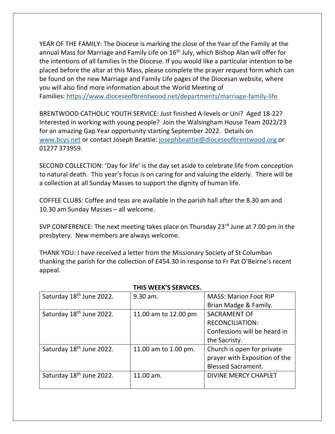YEAR OF THE FAMILY: The Diocese is marking the close of the Year of the Family at the annual Mass for Marriage and Family Life on  $16<sup>th</sup>$  July, which Bishop Alan will offer for the intentions of all families in the Diocese. If you would like a particular intention to be placed before the altar at this Mass, please complete the prayer request form which can be found on the new Marriage and Family Life pages of the Diocesan website, where you will also find more information about the World Meeting of Families: [https://www.dioceseofbrentwood.net/departments/marriage-family-life](https://www.dioceseofbrentwood.net/departments/marriage-family-life/x-world-meeting-of-families/)

BRENTWOOD CATHOLIC YOUTH SERVICE: Just finished A-levels or Uni? Aged 18-22? Interested in working with young people? Join the Walsingham House Team 2022/23 for an amazing Gap Year opportunity starting September 2022. Details on [www.bcys.net](http://www.bcys.net/) or contact Joseph Beattie: [josephbeattie@dioceseofbrentwood.org](mailto:josephbeattie@dioceseofbrentwood.org) or 01277 373959.

SECOND COLLECTION: 'Day for life' is the day set aside to celebrate life from conception to natural death. This year's focus is on caring for and valuing the elderly. There will be a collection at all Sunday Masses to support the dignity of human life.

COFFEE CLUBS: Coffee and teas are available in the parish hall after the 8.30 am and 10.30 am Sunday Masses – all welcome.

SVP CONFERENCE: The next meeting takes place on Thursday 23<sup>rd</sup> June at 7.00 pm in the presbytery. New members are always welcome.

THANK YOU: I have received a letter from the Missionary Society of St Columban thanking the parish for the collection of £454.30 in response to Fr Pat O'Beirne's recent appeal.

| Saturday 18 <sup>th</sup> June 2022. | 9.30 am.             | <b>MASS: Marion Foot RIP</b>  |
|--------------------------------------|----------------------|-------------------------------|
|                                      |                      | Brian Madge & Family.         |
| Saturday 18 <sup>th</sup> June 2022. | 11.00 am to 12.00 pm | <b>SACRAMENT OF</b>           |
|                                      |                      | <b>RECONCILIATION:</b>        |
|                                      |                      | Confessions will be heard in  |
|                                      |                      | the Sacristy.                 |
| Saturday 18 <sup>th</sup> June 2022. | 11.00 am to 1.00 pm. | Church is open for private    |
|                                      |                      | prayer with Exposition of the |
|                                      |                      | <b>Blessed Sacrament.</b>     |
| Saturday 18 <sup>th</sup> June 2022. | 11.00 am.            | DIVINE MERCY CHAPLET          |
|                                      |                      |                               |

## **THIS WEEK'S SERVICES.**